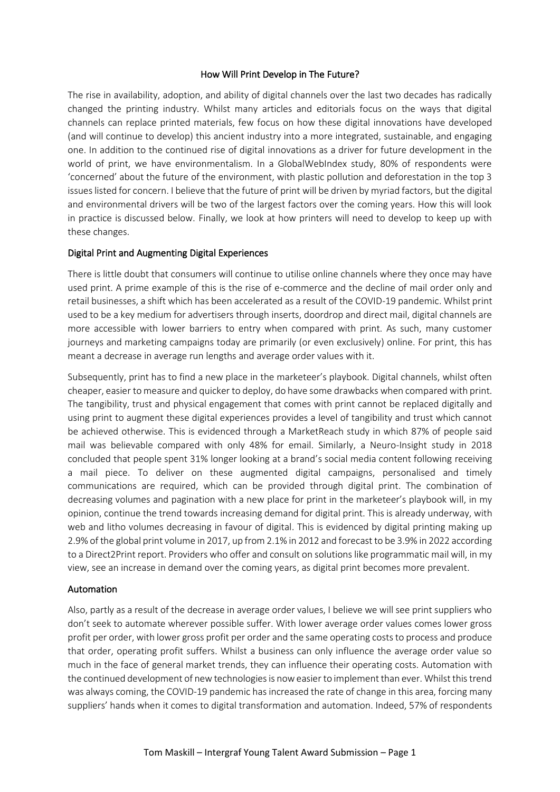### How Will Print Develop in The Future?

The rise in availability, adoption, and ability of digital channels over the last two decades has radically changed the printing industry. Whilst many articles and editorials focus on the ways that digital channels can replace printed materials, few focus on how these digital innovations have developed (and will continue to develop) this ancient industry into a more integrated, sustainable, and engaging one. In addition to the continued rise of digital innovations as a driver for future development in the world of print, we have environmentalism. In a GlobalWebIndex study, 80% of respondents were 'concerned' about the future of the environment, with plastic pollution and deforestation in the top 3 issues listed for concern. I believe that the future of print will be driven by myriad factors, but the digital and environmental drivers will be two of the largest factors over the coming years. How this will look in practice is discussed below. Finally, we look at how printers will need to develop to keep up with these changes.

## Digital Print and Augmenting Digital Experiences

There is little doubt that consumers will continue to utilise online channels where they once may have used print. A prime example of this is the rise of e-commerce and the decline of mail order only and retail businesses, a shift which has been accelerated as a result of the COVID-19 pandemic. Whilst print used to be a key medium for advertisers through inserts, doordrop and direct mail, digital channels are more accessible with lower barriers to entry when compared with print. As such, many customer journeys and marketing campaigns today are primarily (or even exclusively) online. For print, this has meant a decrease in average run lengths and average order values with it.

Subsequently, print has to find a new place in the marketeer's playbook. Digital channels, whilst often cheaper, easier to measure and quicker to deploy, do have some drawbacks when compared with print. The tangibility, trust and physical engagement that comes with print cannot be replaced digitally and using print to augment these digital experiences provides a level of tangibility and trust which cannot be achieved otherwise. This is evidenced through a MarketReach study in which 87% of people said mail was believable compared with only 48% for email. Similarly, a Neuro-Insight study in 2018 concluded that people spent 31% longer looking at a brand's social media content following receiving a mail piece. To deliver on these augmented digital campaigns, personalised and timely communications are required, which can be provided through digital print. The combination of decreasing volumes and pagination with a new place for print in the marketeer's playbook will, in my opinion, continue the trend towards increasing demand for digital print. This is already underway, with web and litho volumes decreasing in favour of digital. This is evidenced by digital printing making up 2.9% of the global print volume in 2017, up from 2.1% in 2012 and forecast to be 3.9% in 2022 according to a Direct2Print report. Providers who offer and consult on solutions like programmatic mail will, in my view, see an increase in demand over the coming years, as digital print becomes more prevalent.

### Automation

Also, partly as a result of the decrease in average order values, I believe we will see print suppliers who don't seek to automate wherever possible suffer. With lower average order values comes lower gross profit per order, with lower gross profit per order and the same operating costs to process and produce that order, operating profit suffers. Whilst a business can only influence the average order value so much in the face of general market trends, they can influence their operating costs. Automation with the continued development of new technologies is now easier to implement than ever. Whilst this trend was always coming, the COVID-19 pandemic has increased the rate of change in this area, forcing many suppliers' hands when it comes to digital transformation and automation. Indeed, 57% of respondents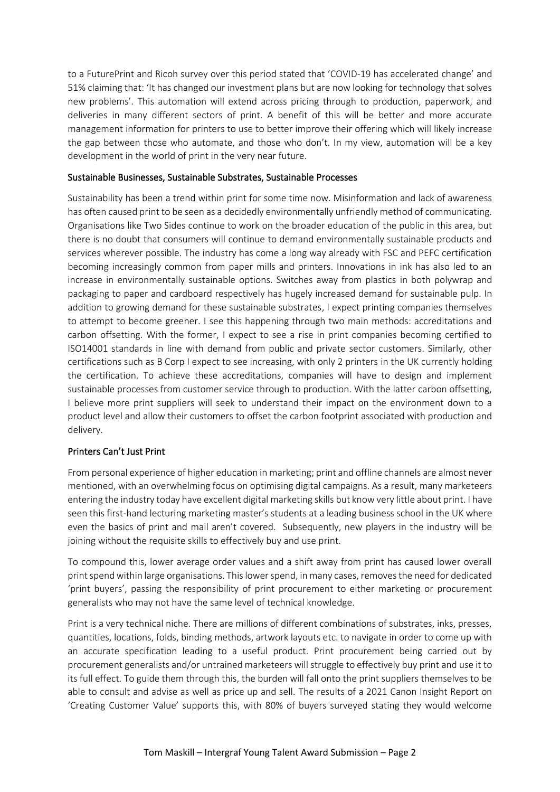to a FuturePrint and Ricoh survey over this period stated that 'COVID-19 has accelerated change' and 51% claiming that: 'It has changed our investment plans but are now looking for technology that solves new problems'. This automation will extend across pricing through to production, paperwork, and deliveries in many different sectors of print. A benefit of this will be better and more accurate management information for printers to use to better improve their offering which will likely increase the gap between those who automate, and those who don't. In my view, automation will be a key development in the world of print in the very near future.

## Sustainable Businesses, Sustainable Substrates, Sustainable Processes

Sustainability has been a trend within print for some time now. Misinformation and lack of awareness has often caused print to be seen as a decidedly environmentally unfriendly method of communicating. Organisations like Two Sides continue to work on the broader education of the public in this area, but there is no doubt that consumers will continue to demand environmentally sustainable products and services wherever possible. The industry has come a long way already with FSC and PEFC certification becoming increasingly common from paper mills and printers. Innovations in ink has also led to an increase in environmentally sustainable options. Switches away from plastics in both polywrap and packaging to paper and cardboard respectively has hugely increased demand for sustainable pulp. In addition to growing demand for these sustainable substrates, I expect printing companies themselves to attempt to become greener. I see this happening through two main methods: accreditations and carbon offsetting. With the former, I expect to see a rise in print companies becoming certified to ISO14001 standards in line with demand from public and private sector customers. Similarly, other certifications such as B Corp I expect to see increasing, with only 2 printers in the UK currently holding the certification. To achieve these accreditations, companies will have to design and implement sustainable processes from customer service through to production. With the latter carbon offsetting, I believe more print suppliers will seek to understand their impact on the environment down to a product level and allow their customers to offset the carbon footprint associated with production and delivery.

## Printers Can't Just Print

From personal experience of higher education in marketing; print and offline channels are almost never mentioned, with an overwhelming focus on optimising digital campaigns. As a result, many marketeers entering the industry today have excellent digital marketing skills but know very little about print. I have seen this first-hand lecturing marketing master's students at a leading business school in the UK where even the basics of print and mail aren't covered. Subsequently, new players in the industry will be joining without the requisite skills to effectively buy and use print.

To compound this, lower average order values and a shift away from print has caused lower overall print spend within large organisations. This lower spend, in many cases, removes the need for dedicated 'print buyers', passing the responsibility of print procurement to either marketing or procurement generalists who may not have the same level of technical knowledge.

Print is a very technical niche. There are millions of different combinations of substrates, inks, presses, quantities, locations, folds, binding methods, artwork layouts etc. to navigate in order to come up with an accurate specification leading to a useful product. Print procurement being carried out by procurement generalists and/or untrained marketeers will struggle to effectively buy print and use it to its full effect. To guide them through this, the burden will fall onto the print suppliers themselves to be able to consult and advise as well as price up and sell. The results of a 2021 Canon Insight Report on 'Creating Customer Value' supports this, with 80% of buyers surveyed stating they would welcome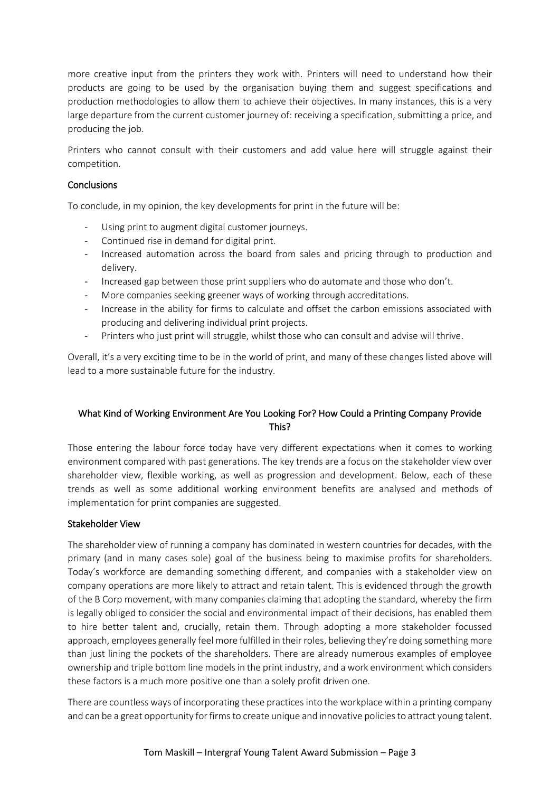more creative input from the printers they work with. Printers will need to understand how their products are going to be used by the organisation buying them and suggest specifications and production methodologies to allow them to achieve their objectives. In many instances, this is a very large departure from the current customer journey of: receiving a specification, submitting a price, and producing the job.

Printers who cannot consult with their customers and add value here will struggle against their competition.

## **Conclusions**

To conclude, in my opinion, the key developments for print in the future will be:

- Using print to augment digital customer journeys.
- Continued rise in demand for digital print.
- Increased automation across the board from sales and pricing through to production and delivery.
- Increased gap between those print suppliers who do automate and those who don't.
- More companies seeking greener ways of working through accreditations.
- Increase in the ability for firms to calculate and offset the carbon emissions associated with producing and delivering individual print projects.
- Printers who just print will struggle, whilst those who can consult and advise will thrive.

Overall, it's a very exciting time to be in the world of print, and many of these changes listed above will lead to a more sustainable future for the industry.

# What Kind of Working Environment Are You Looking For? How Could a Printing Company Provide This?

Those entering the labour force today have very different expectations when it comes to working environment compared with past generations. The key trends are a focus on the stakeholder view over shareholder view, flexible working, as well as progression and development. Below, each of these trends as well as some additional working environment benefits are analysed and methods of implementation for print companies are suggested.

### Stakeholder View

The shareholder view of running a company has dominated in western countries for decades, with the primary (and in many cases sole) goal of the business being to maximise profits for shareholders. Today's workforce are demanding something different, and companies with a stakeholder view on company operations are more likely to attract and retain talent. This is evidenced through the growth of the B Corp movement, with many companies claiming that adopting the standard, whereby the firm is legally obliged to consider the social and environmental impact of their decisions, has enabled them to hire better talent and, crucially, retain them. Through adopting a more stakeholder focussed approach, employees generally feel more fulfilled in their roles, believing they're doing something more than just lining the pockets of the shareholders. There are already numerous examples of employee ownership and triple bottom line models in the print industry, and a work environment which considers these factors is a much more positive one than a solely profit driven one.

There are countless ways of incorporating these practices into the workplace within a printing company and can be a great opportunity for firms to create unique and innovative policies to attract young talent.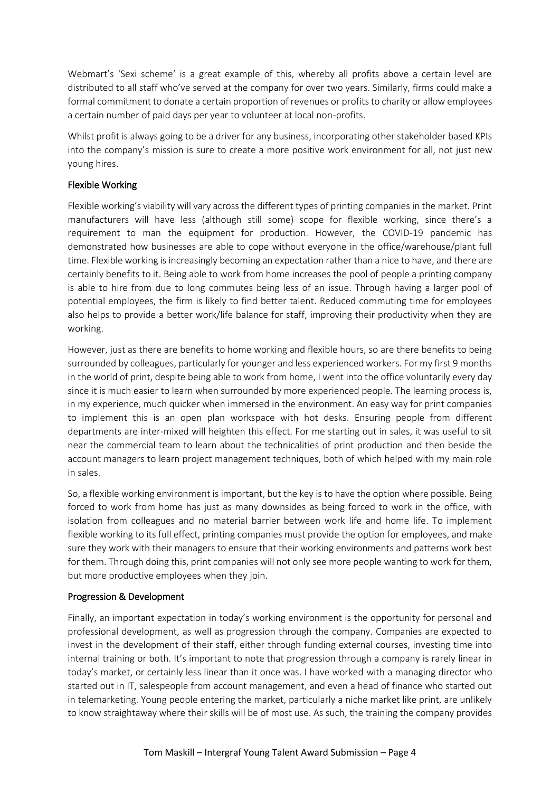Webmart's 'Sexi scheme' is a great example of this, whereby all profits above a certain level are distributed to all staff who've served at the company for over two years. Similarly, firms could make a formal commitment to donate a certain proportion of revenues or profits to charity or allow employees a certain number of paid days per year to volunteer at local non-profits.

Whilst profit is always going to be a driver for any business, incorporating other stakeholder based KPIs into the company's mission is sure to create a more positive work environment for all, not just new young hires.

## Flexible Working

Flexible working's viability will vary across the different types of printing companies in the market. Print manufacturers will have less (although still some) scope for flexible working, since there's a requirement to man the equipment for production. However, the COVID-19 pandemic has demonstrated how businesses are able to cope without everyone in the office/warehouse/plant full time. Flexible working is increasingly becoming an expectation rather than a nice to have, and there are certainly benefits to it. Being able to work from home increases the pool of people a printing company is able to hire from due to long commutes being less of an issue. Through having a larger pool of potential employees, the firm is likely to find better talent. Reduced commuting time for employees also helps to provide a better work/life balance for staff, improving their productivity when they are working.

However, just as there are benefits to home working and flexible hours, so are there benefits to being surrounded by colleagues, particularly for younger and less experienced workers. For my first 9 months in the world of print, despite being able to work from home, I went into the office voluntarily every day since it is much easier to learn when surrounded by more experienced people. The learning process is, in my experience, much quicker when immersed in the environment. An easy way for print companies to implement this is an open plan workspace with hot desks. Ensuring people from different departments are inter-mixed will heighten this effect. For me starting out in sales, it was useful to sit near the commercial team to learn about the technicalities of print production and then beside the account managers to learn project management techniques, both of which helped with my main role in sales.

So, a flexible working environment is important, but the key is to have the option where possible. Being forced to work from home has just as many downsides as being forced to work in the office, with isolation from colleagues and no material barrier between work life and home life. To implement flexible working to its full effect, printing companies must provide the option for employees, and make sure they work with their managers to ensure that their working environments and patterns work best for them. Through doing this, print companies will not only see more people wanting to work for them, but more productive employees when they join.

### Progression & Development

Finally, an important expectation in today's working environment is the opportunity for personal and professional development, as well as progression through the company. Companies are expected to invest in the development of their staff, either through funding external courses, investing time into internal training or both. It's important to note that progression through a company is rarely linear in today's market, or certainly less linear than it once was. I have worked with a managing director who started out in IT, salespeople from account management, and even a head of finance who started out in telemarketing. Young people entering the market, particularly a niche market like print, are unlikely to know straightaway where their skills will be of most use. As such, the training the company provides